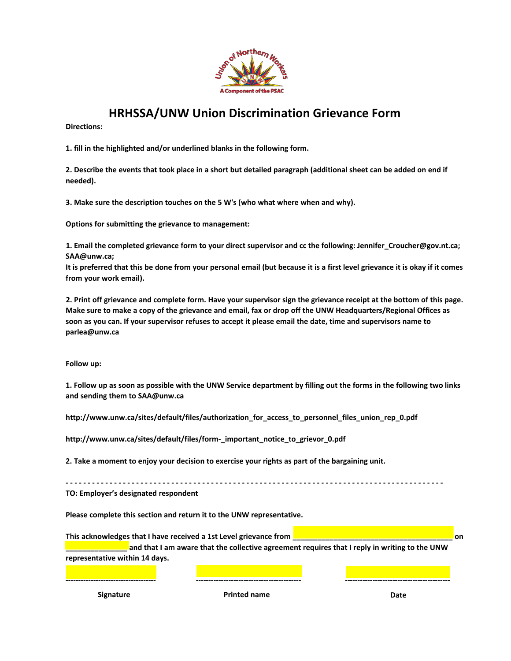

## **HRHSSA/UNW Union Discrimination Grievance Form**

**Directions:** 

**1. fill in the highlighted and/or underlined blanks in the following form.**

**2. Describe the events that took place in a short but detailed paragraph (additional sheet can be added on end if needed).**

**3. Make sure the description touches on the 5 W's (who what where when and why).**

**Options for submitting the grievance to management:**

**1. Email the completed grievance form to your direct supervisor and cc the following: Jennifer\_Croucher@gov.nt.ca; SAA@unw.ca;**

**It is preferred that this be done from your personal email (but because it is a first level grievance it is okay if it comes from your work email).**

**2. Print off grievance and complete form. Have your supervisor sign the grievance receipt at the bottom of this page. Make sure to make a copy of the grievance and email, fax or drop off the UNW Headquarters/Regional Offices as soon as you can. If your supervisor refuses to accept it please email the date, time and supervisors name to parlea@unw.ca**

**Follow up:**

**1. Follow up as soon as possible with the UNW Service department by filling out the forms in the following two links and sending them to SAA@unw.ca**

**http://www.unw.ca/sites/default/files/authorization\_for\_access\_to\_personnel\_files\_union\_rep\_0.pdf** 

**http://www.unw.ca/sites/default/files/form-\_important\_notice\_to\_grievor\_0.pdf**

**2. Take a moment to enjoy your decision to exercise your rights as part of the bargaining unit.**

**- - - - - - - - - - - - - - - - - - - - - - - - - - - - - - - - - - - - - - - - - - - - - - - - - - - - - - - - - - - - - - - - - - - - - - - - - - - - - - - - - - - - - - TO: Employer's designated respondent**

**Please complete this section and return it to the UNW representative.**

**This acknowledges that I have received a 1st Level grievance from \_\_\_\_\_\_\_\_\_\_\_\_\_\_\_\_\_\_\_\_\_\_\_\_\_\_\_\_\_\_\_\_\_\_\_\_\_\_\_ on \_\_\_\_\_\_\_\_\_\_\_\_\_\_\_ and that I am aware that the collective agreement requires that I reply in writing to the UNW representative within 14 days.**

**------------------------------------ ------------------------------------------ ------------------------------------------**

**Signature Printed name Date**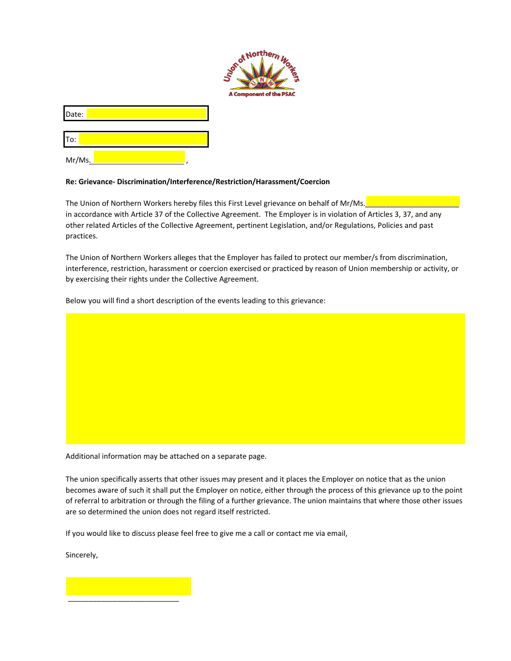

Date:

To:

Mr/Ms.,

## **Re: Grievance- Discrimination/Interference/Restriction/Harassment/Coercion**

The Union of Northern Workers hereby files this First Level grievance on behalf of Mr/Ms. in accordance with Article 37 of the Collective Agreement. The Employer is in violation of Articles 3, 37, and any other related Articles of the Collective Agreement, pertinent Legislation, and/or Regulations, Policies and past practices.

The Union of Northern Workers alleges that the Employer has failed to protect our member/s from discrimination, interference, restriction, harassment or coercion exercised or practiced by reason of Union membership or activity, or by exercising their rights under the Collective Agreement.

Below you will find a short description of the events leading to this grievance:

Additional information may be attached on a separate page.

The union specifically asserts that other issues may present and it places the Employer on notice that as the union becomes aware of such it shall put the Employer on notice, either through the process of this grievance up to the point of referral to arbitration or through the filing of a further grievance. The union maintains that where those other issues are so determined the union does not regard itself restricted.

If you would like to discuss please feel free to give me a call or contact me via email,

Sincerely,

\_\_\_\_\_\_\_\_\_\_\_\_\_\_\_\_\_\_\_\_\_\_\_\_\_\_\_